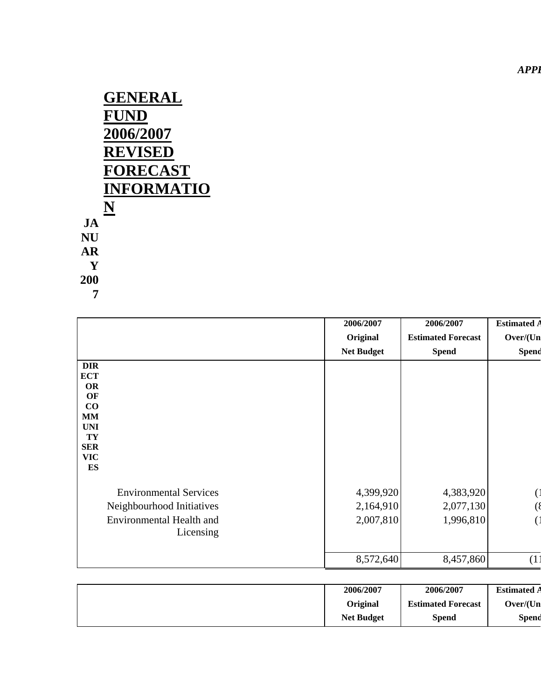*APPI* 

|               | <b>GENERAL</b><br><b>FUND</b><br>2006/2007 |
|---------------|--------------------------------------------|
|               | <b>REVISED</b>                             |
|               | <b>FORECAST</b>                            |
|               | <b>INFORMATIO</b>                          |
|               | N                                          |
| $J\mathbf{A}$ |                                            |
| NU            |                                            |
| AR            |                                            |
| Y             |                                            |
| 200           |                                            |
|               |                                            |

|                  |                                 | 2006/2007         | 2006/2007                 | <b>Estimated A</b> |
|------------------|---------------------------------|-------------------|---------------------------|--------------------|
|                  |                                 | Original          | <b>Estimated Forecast</b> | Over/(Un           |
|                  |                                 | <b>Net Budget</b> | <b>Spend</b>              | Spend              |
| <b>DIR</b>       |                                 |                   |                           |                    |
| <b>ECT</b>       |                                 |                   |                           |                    |
| <b>OR</b><br>OF  |                                 |                   |                           |                    |
| CO               |                                 |                   |                           |                    |
| MM               |                                 |                   |                           |                    |
| <b>UNI</b>       |                                 |                   |                           |                    |
| TY               |                                 |                   |                           |                    |
| <b>SER</b>       |                                 |                   |                           |                    |
| <b>VIC</b><br>ES |                                 |                   |                           |                    |
|                  |                                 |                   |                           |                    |
|                  | <b>Environmental Services</b>   | 4,399,920         | 4,383,920                 |                    |
|                  | Neighbourhood Initiatives       | 2,164,910         | 2,077,130                 |                    |
|                  | <b>Environmental Health and</b> | 2,007,810         | 1,996,810                 |                    |
|                  | Licensing                       |                   |                           |                    |
|                  |                                 |                   |                           |                    |
|                  |                                 | 8,572,640         | 8,457,860                 | (1)                |

| 2006/2007         | 2006/2007                 | <b>Estimated A</b> |
|-------------------|---------------------------|--------------------|
| Original          | <b>Estimated Forecast</b> | Over/(Un)          |
| <b>Net Budget</b> | Spend                     | Spend              |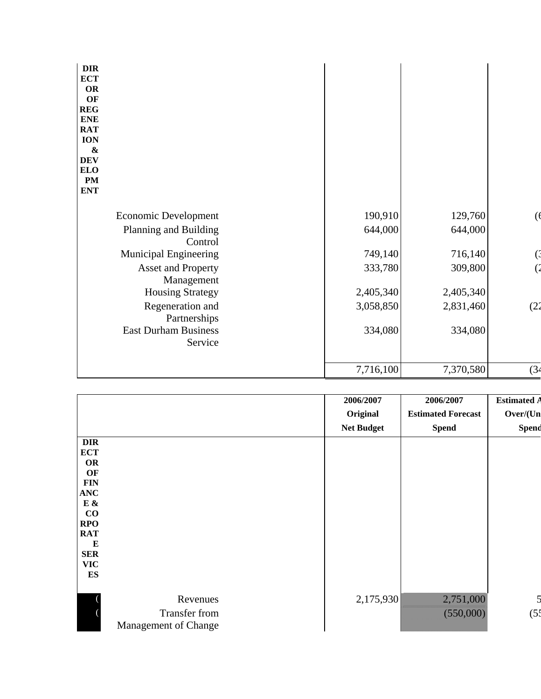| <b>DIR</b><br><b>ECT</b><br><b>OR</b><br>OF<br><b>REG</b><br><b>ENE</b><br><b>RAT</b><br><b>ION</b><br>$\boldsymbol{\&}$<br><b>DEV</b><br><b>ELO</b><br><b>PM</b><br><b>ENT</b> |           |           |      |
|---------------------------------------------------------------------------------------------------------------------------------------------------------------------------------|-----------|-----------|------|
| Economic Development                                                                                                                                                            | 190,910   | 129,760   |      |
| Planning and Building<br>Control                                                                                                                                                | 644,000   | 644,000   |      |
| <b>Municipal Engineering</b>                                                                                                                                                    | 749,140   | 716,140   |      |
| <b>Asset and Property</b><br>Management                                                                                                                                         | 333,780   | 309,800   |      |
| <b>Housing Strategy</b>                                                                                                                                                         | 2,405,340 | 2,405,340 |      |
| Regeneration and<br>Partnerships                                                                                                                                                | 3,058,850 | 2,831,460 | (22) |
| <b>East Durham Business</b><br>Service                                                                                                                                          | 334,080   | 334,080   |      |
|                                                                                                                                                                                 | 7,716,100 | 7,370,580 | (34) |

|                          |                      | 2006/2007         | 2006/2007                 | <b>Estimated A</b>      |
|--------------------------|----------------------|-------------------|---------------------------|-------------------------|
|                          |                      | Original          | <b>Estimated Forecast</b> | Over/(Un                |
|                          |                      | <b>Net Budget</b> | <b>Spend</b>              | Spend                   |
| <b>DIR</b>               |                      |                   |                           |                         |
| <b>ECT</b>               |                      |                   |                           |                         |
| <b>OR</b>                |                      |                   |                           |                         |
| OF                       |                      |                   |                           |                         |
| <b>FIN</b><br><b>ANC</b> |                      |                   |                           |                         |
| $\mathbf E$ &            |                      |                   |                           |                         |
| $\bf CO$                 |                      |                   |                           |                         |
| <b>RPO</b>               |                      |                   |                           |                         |
| <b>RAT</b>               |                      |                   |                           |                         |
| E                        |                      |                   |                           |                         |
| <b>SER</b>               |                      |                   |                           |                         |
| <b>VIC</b>               |                      |                   |                           |                         |
| ES                       |                      |                   |                           |                         |
|                          |                      |                   |                           |                         |
|                          | Revenues             | 2,175,930         | 2,751,000                 | $\overline{\mathbf{5}}$ |
|                          | Transfer from        |                   | (550,000)                 | (5 <sup>4</sup> )       |
|                          |                      |                   |                           |                         |
|                          | Management of Change |                   |                           |                         |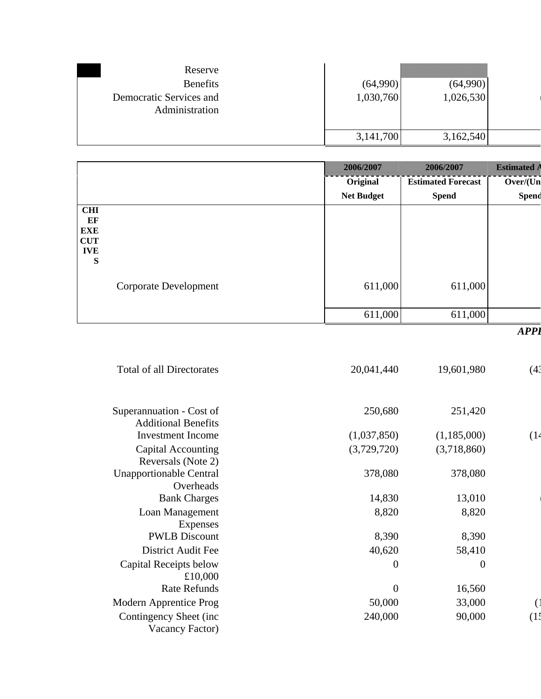| Reserve                                   |           |           |  |
|-------------------------------------------|-----------|-----------|--|
| <b>Benefits</b>                           | (64,990)  | (64,990)  |  |
| Democratic Services and<br>Administration | 1,030,760 | 1,026,530 |  |
|                                           | 3,141,700 | 3,162,540 |  |

|                                                          |                       | 2006/2007         | 2006/2007                 | <b>Estimated</b> |
|----------------------------------------------------------|-----------------------|-------------------|---------------------------|------------------|
|                                                          |                       | Original          | <b>Estimated Forecast</b> | Over/(Un         |
|                                                          |                       | <b>Net Budget</b> | <b>Spend</b>              | Spend            |
| <b>CHI</b><br>EF<br><b>EXE</b><br>CUT<br><b>IVE</b><br>S |                       |                   |                           |                  |
|                                                          | Corporate Development | 611,000           | 611,000                   |                  |
|                                                          |                       | 611,000           | 611,000                   |                  |
|                                                          |                       |                   |                           | <b>APPI</b>      |

| <b>Total of all Directorates</b>                       | 20,041,440     | 19,601,980     | (43 |
|--------------------------------------------------------|----------------|----------------|-----|
| Superannuation - Cost of<br><b>Additional Benefits</b> | 250,680        | 251,420        |     |
| <b>Investment Income</b>                               | (1,037,850)    | (1,185,000)    | (14 |
| Capital Accounting<br>Reversals (Note 2)               | (3,729,720)    | (3,718,860)    |     |
| <b>Unapportionable Central</b><br>Overheads            | 378,080        | 378,080        |     |
| <b>Bank Charges</b>                                    | 14,830         | 13,010         |     |
| Loan Management<br>Expenses                            | 8,820          | 8,820          |     |
| <b>PWLB</b> Discount                                   | 8,390          | 8,390          |     |
| <b>District Audit Fee</b>                              | 40,620         | 58,410         |     |
| Capital Receipts below<br>£10,000                      | $\overline{0}$ | $\overline{0}$ |     |
| <b>Rate Refunds</b>                                    | $\overline{0}$ | 16,560         |     |
| Modern Apprentice Prog                                 | 50,000         | 33,000         |     |
| Contingency Sheet (inc<br>Vacancy Factor)              | 240,000        | 90,000         |     |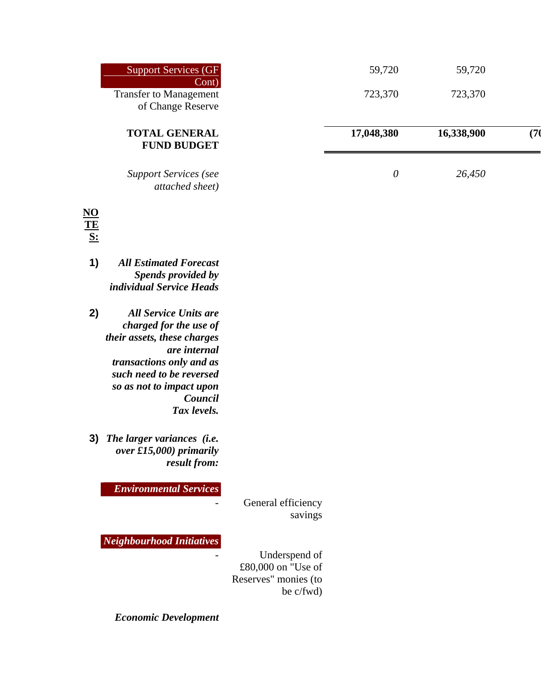| Support Services (GF<br>$\lfloor$ Cont $\rfloor$   | 59,720     | 59,720     |    |
|----------------------------------------------------|------------|------------|----|
| <b>Transfer to Management</b><br>of Change Reserve | 723,370    | 723,370    |    |
| <b>TOTAL GENERAL</b><br><b>FUND BUDGET</b>         | 17,048,380 | 16,338,900 | 71 |
| <b>Support Services (see</b><br>attached sheet)    | 0          | 26,450     |    |

## **NO TE S:**

- **1)** *All Estimated Forecast Spends provided by individual Service Heads*
- **2)** *All Service Units are charged for the use of their assets, these charges are internal transactions only and as such need to be reversed so as not to impact upon Council Tax levels.*
- **3)** *The larger variances (i.e. over £15,000) primarily result from:*

*Environmental Services*

*-* General efficiency savings

*Neighbourhood Initiatives*

*-* Underspend of £80,000 on "Use of Reserves" monies (to be c/fwd)

*Economic Development*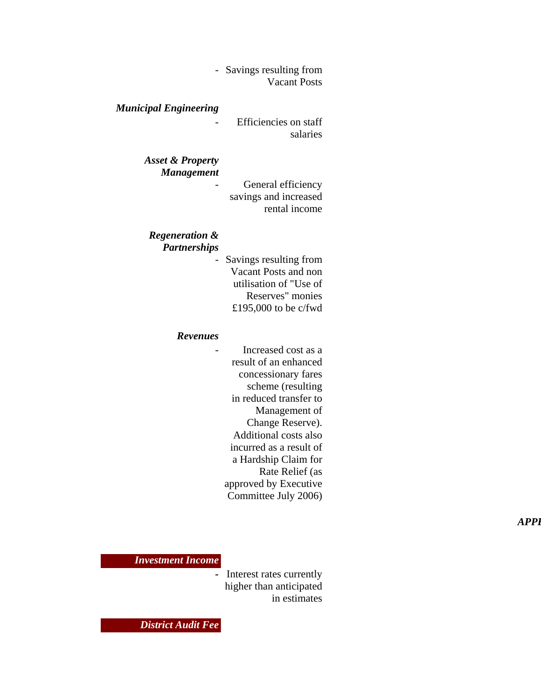*-* Savings resulting from Vacant Posts

#### *Municipal Engineering*

*-* Efficiencies on staff salaries

#### *Asset & Property Management*

*-* General efficiency savings and increased rental income

## *Regeneration &*

*Partnerships*

*-* Savings resulting from Vacant Posts and non utilisation of "Use of Reserves" monies £195,000 to be c/fwd

#### *Revenues*

*-* Increased cost as a result of an enhanced concessionary fares scheme (resulting in reduced transfer to Management of Change Reserve). Additional costs also incurred as a result of a Hardship Claim for Rate Relief (as approved by Executive Committee July 2006)

 *APPE*

#### *Investment Income*

*-* Interest rates currently higher than anticipated in estimates

*District Audit Fee*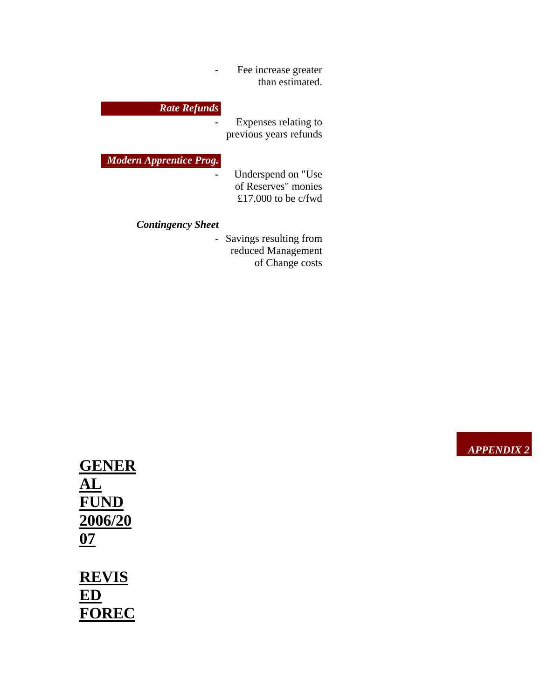*-* Fee increase greater than estimated.

### *Rate Refunds*

*-* Expenses relating to previous years refunds

#### *Modern Apprentice Prog.*

*-* Underspend on "Use of Reserves" monies £17,000 to be c/fwd

### *Contingency Sheet*

*-* Savings resulting from reduced Management of Change costs

**GENER AL FUND 2006/20 07 REVIS**

**ED FOREC** *APPENDIX 2*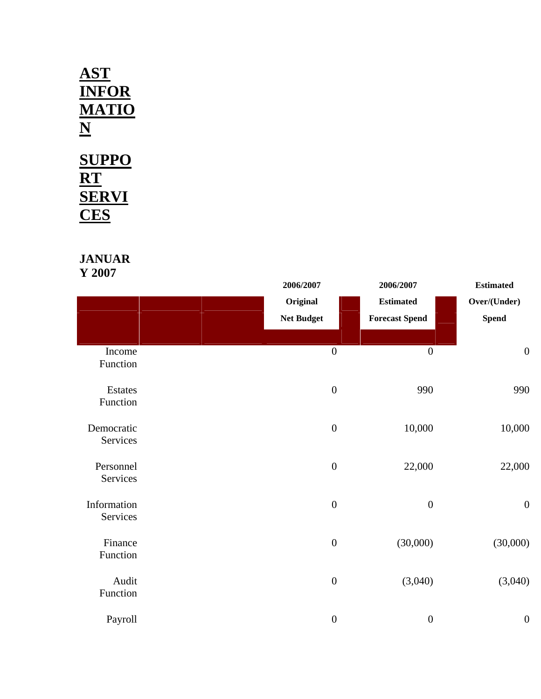# **AST INFOR MATIO N SUPPO RT SERVI**

**CES**

## **JANUAR Y 2007**

|                         | 2006/2007         |                  | 2006/2007             | <b>Estimated</b> |
|-------------------------|-------------------|------------------|-----------------------|------------------|
|                         | Original          |                  | <b>Estimated</b>      | Over/(Under)     |
|                         | <b>Net Budget</b> |                  | <b>Forecast Spend</b> | <b>Spend</b>     |
|                         |                   |                  |                       |                  |
| Income<br>Function      |                   | $\boldsymbol{0}$ | $\boldsymbol{0}$      | $\boldsymbol{0}$ |
| Estates<br>Function     |                   | $\boldsymbol{0}$ | 990                   | 990              |
| Democratic<br>Services  |                   | $\boldsymbol{0}$ | 10,000                | 10,000           |
| Personnel<br>Services   |                   | $\boldsymbol{0}$ | 22,000                | 22,000           |
| Information<br>Services |                   | $\boldsymbol{0}$ | $\boldsymbol{0}$      | $\boldsymbol{0}$ |
| Finance<br>Function     |                   | $\boldsymbol{0}$ | (30,000)              | (30,000)         |
| Audit<br>Function       |                   | $\boldsymbol{0}$ | (3,040)               | (3,040)          |
| Payroll                 |                   | $\boldsymbol{0}$ | $\boldsymbol{0}$      | $\boldsymbol{0}$ |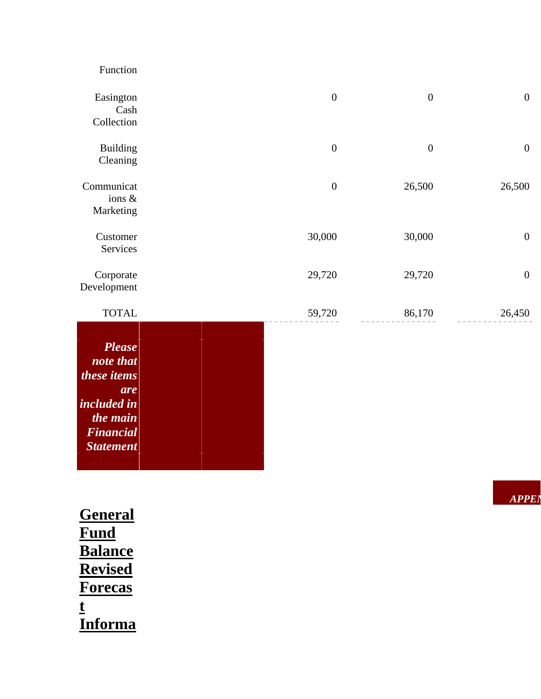| $\boldsymbol{0}$ | $\boldsymbol{0}$ | $\boldsymbol{0}$ | Easington<br>Cash<br>Collection      |
|------------------|------------------|------------------|--------------------------------------|
| $\boldsymbol{0}$ | $\boldsymbol{0}$ | $\boldsymbol{0}$ | <b>Building</b><br>Cleaning          |
| 26,500           | 26,500           | $\boldsymbol{0}$ | Communicat<br>ions $\&$<br>Marketing |
| $\boldsymbol{0}$ | 30,000           | 30,000           | Customer<br>Services                 |
| $\boldsymbol{0}$ | 29,720           | 29,720           | Corporate<br>Development             |
| 26,450           | 86,170           | 59,720           | <b>TOTAL</b>                         |

| Please             |  |
|--------------------|--|
| note that          |  |
| <i>these items</i> |  |
| are                |  |
| <i>included in</i> |  |
| the main           |  |
| <b>Financial</b>   |  |
| <b>Statement</b>   |  |
|                    |  |

| General        |
|----------------|
| Fund           |
| <b>Balance</b> |
| <b>Revised</b> |
| <b>Forecas</b> |
| t              |
| <b>Informa</b> |

Function

*APPEN*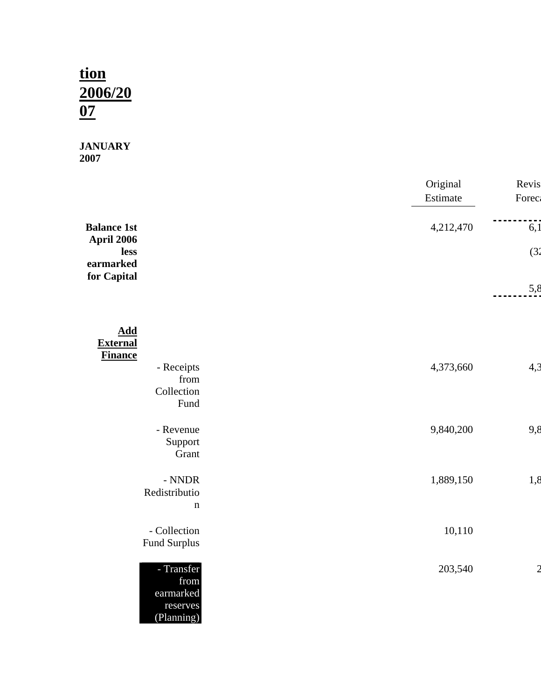# **tion 2006/20 07**

#### **JANUARY 2007**

|                                                            | Original<br>Estimate | Revis<br><b>Forec</b> |
|------------------------------------------------------------|----------------------|-----------------------|
| <b>Balance 1st</b><br>April 2006                           | 4,212,470            | 6,1                   |
| less<br>earmarked<br>for Capital                           |                      | (3)                   |
|                                                            |                      | 5,8                   |
| <b>Add</b><br><b>External</b>                              |                      |                       |
| <b>Finance</b><br>- Receipts<br>from<br>Collection<br>Fund | 4,373,660            | 4,3                   |
| - Revenue<br>Support<br>Grant                              | 9,840,200            | 9,8                   |
| $-$ NNDR<br>Redistributio<br>$\mathbf n$                   | 1,889,150            | 1,8                   |
| - Collection<br>Fund Surplus                               | 10,110               |                       |
| - Transfer<br>from<br>earmarked<br>reserves<br>(Planning)  | 203,540              |                       |